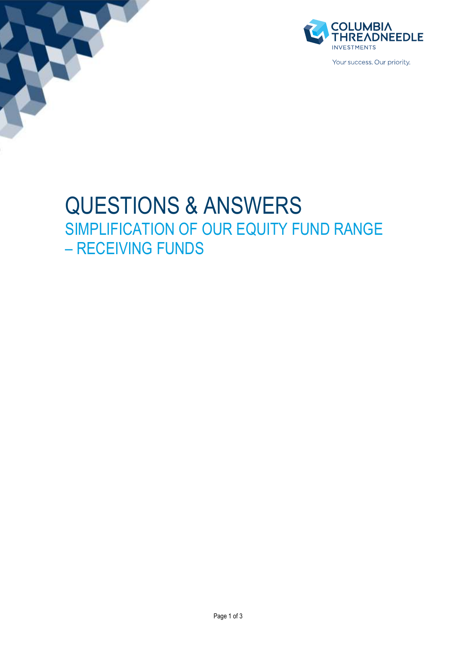



Your success. Our priority

# QUESTIONS & ANSWERS SIMPLIFICATION OF OUR EQUITY FUND RANGE – RECEIVING FUNDS

Page 1 of 3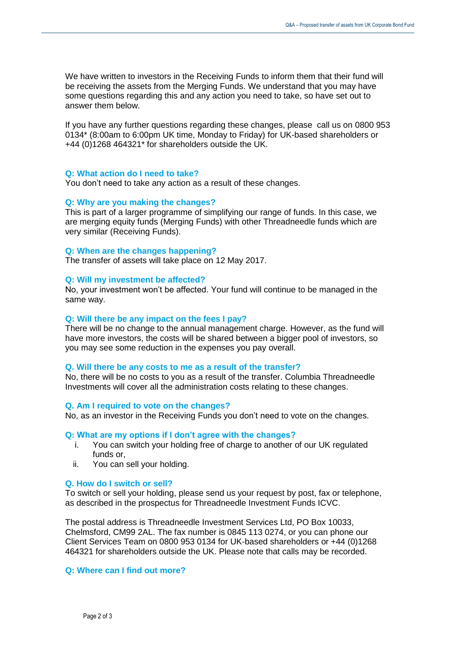We have written to investors in the Receiving Funds to inform them that their fund will be receiving the assets from the Merging Funds. We understand that you may have some questions regarding this and any action you need to take, so have set out to answer them below.

If you have any further questions regarding these changes, please call us on 0800 953 0134\* (8:00am to 6:00pm UK time, Monday to Friday) for UK-based shareholders or +44 (0)1268 464321\* for shareholders outside the UK.

#### **Q: What action do I need to take?**

You don't need to take any action as a result of these changes.

#### **Q: Why are you making the changes?**

This is part of a larger programme of simplifying our range of funds. In this case, we are merging equity funds (Merging Funds) with other Threadneedle funds which are very similar (Receiving Funds).

#### **Q: When are the changes happening?**

The transfer of assets will take place on 12 May 2017.

## **Q: Will my investment be affected?**

No, your investment won't be affected. Your fund will continue to be managed in the same way.

### **Q: Will there be any impact on the fees I pay?**

There will be no change to the annual management charge. However, as the fund will have more investors, the costs will be shared between a bigger pool of investors, so you may see some reduction in the expenses you pay overall.

#### **Q. Will there be any costs to me as a result of the transfer?**

No, there will be no costs to you as a result of the transfer. Columbia Threadneedle Investments will cover all the administration costs relating to these changes.

### **Q. Am I required to vote on the changes?**

No, as an investor in the Receiving Funds you don't need to vote on the changes.

#### **Q: What are my options if I don't agree with the changes?**

- i. You can switch your holding free of charge to another of our UK regulated funds or,
- ii. You can sell your holding.

# **Q. How do I switch or sell?**

To switch or sell your holding, please send us your request by post, fax or telephone, as described in the prospectus for Threadneedle Investment Funds ICVC.

The postal address is Threadneedle Investment Services Ltd, PO Box 10033, Chelmsford, CM99 2AL. The fax number is 0845 113 0274, or you can phone our Client Services Team on 0800 953 0134 for UK-based shareholders or +44 (0)1268 464321 for shareholders outside the UK. Please note that calls may be recorded.

# **Q: Where can I find out more?**